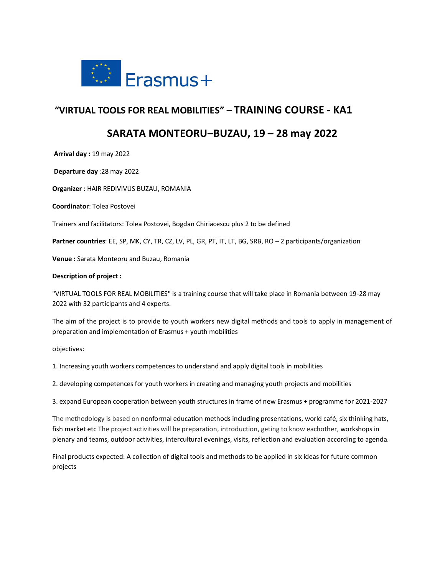

# **"VIRTUAL TOOLS FOR REAL MOBILITIES" – TRAINING COURSE - KA1**

# **SARATA MONTEORU–BUZAU, 19 – 28 may 2022**

**Arrival day :** 19 may 2022

**Departure day** :28 may 2022

**Organizer** : HAIR REDIVIVUS BUZAU, ROMANIA

**Coordinator**: Tolea Postovei

Trainers and facilitators: Tolea Postovei, Bogdan Chiriacescu plus 2 to be defined

**Partner countries**: EE, SP, MK, CY, TR, CZ, LV, PL, GR, PT, IT, LT, BG, SRB, RO – 2 participants/organization

**Venue :** Sarata Monteoru and Buzau, Romania

## **Description of project :**

"VIRTUAL TOOLS FOR REAL MOBILITIES" is a training course that will take place in Romania between 19-28 may 2022 with 32 participants and 4 experts.

The aim of the project is to provide to youth workers new digital methods and tools to apply in management of preparation and implementation of Erasmus + youth mobilities

objectives:

1. Increasing youth workers competences to understand and apply digital tools in mobilities

2. developing competences for youth workers in creating and managing youth projects and mobilities

3. expand European cooperation between youth structures in frame of new Erasmus + programme for 2021-2027

The methodology is based on nonformal education methods including presentations, world café, six thinking hats, fish market etc The project activities will be preparation, introduction, geting to know eachother, workshops in plenary and teams, outdoor activities, intercultural evenings, visits, reflection and evaluation according to agenda.

Final products expected: A collection of digital tools and methods to be applied in six ideas for future common projects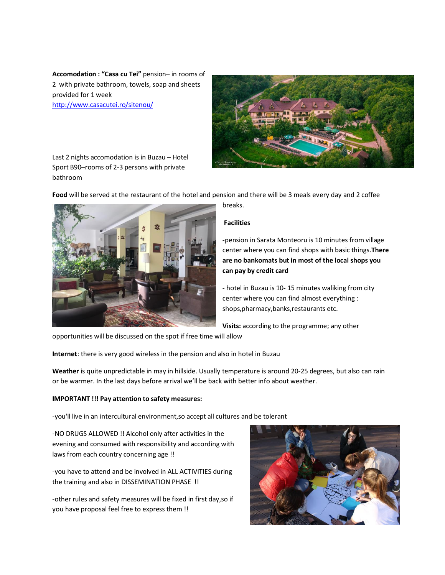**Accomodation : "Casa cu Tei"** pension– in rooms of 2 with private bathroom, towels, soap and sheets provided for 1 week <http://www.casacutei.ro/sitenou/>



Last 2 nights accomodation is in Buzau – Hotel Sport B90–rooms of 2-3 persons with private bathroom



-pension in Sarata Monteoru is 10 minutes from village center where you can find shops with basic things.**There are no bankomats but in most of the local shops you can pay by credit card** 

- hotel in Buzau is 10**-** 15 minutes waliking from city center where you can find almost everything : shops,pharmacy,banks,restaurants etc.

**Visits:** according to the programme; any other

opportunities will be discussed on the spot if free time will allow

**Internet**: there is very good wireless in the pension and also in hotel in Buzau

**Weather** is quite unpredictable in may in hillside. Usually temperature is around 20-25 degrees, but also can rain or be warmer. In the last days before arrival we'll be back with better info about weather.

## **IMPORTANT !!! Pay attention to safety measures:**

-you'll live in an intercultural environment,so accept all cultures and be tolerant

-NO DRUGS ALLOWED !! Alcohol only after activities in the evening and consumed with responsibility and according with laws from each country concerning age !!

-you have to attend and be involved in ALL ACTIVITIES during the training and also in DISSEMINATION PHASE !!

-other rules and safety measures will be fixed in first day,so if you have proposal feel free to express them !!

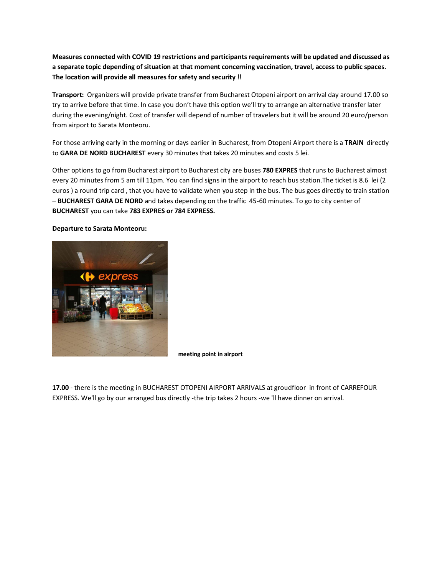**Measures connected with COVID 19 restrictions and participants requirements will be updated and discussed as a separate topic depending of situation at that moment concerning vaccination, travel, access to public spaces. The location will provide all measures for safety and security !!**

**Transport:** Organizers will provide private transfer from Bucharest Otopeni airport on arrival day around 17.00 so try to arrive before that time. In case you don't have this option we'll try to arrange an alternative transfer later during the evening/night. Cost of transfer will depend of number of travelers but it will be around 20 euro/person from airport to Sarata Monteoru.

For those arriving early in the morning or days earlier in Bucharest, from Otopeni Airport there is a **TRAIN** directly to **GARA DE NORD BUCHAREST** every 30 minutes that takes 20 minutes and costs 5 lei.

Other options to go from Bucharest airport to Bucharest city are buses **780 EXPRES** that runs to Bucharest almost every 20 minutes from 5 am till 11pm. You can find signs in the airport to reach bus station.The ticket is 8.6 lei (2 euros ) a round trip card , that you have to validate when you step in the bus. The bus goes directly to train station – **BUCHAREST GARA DE NORD** and takes depending on the traffic 45-60 minutes. To go to city center of **BUCHAREST** you can take **783 EXPRES or 784 EXPRESS.** 

#### **Departure to Sarata Monteoru:**



**meeting point in airport**

**17.00** - there is the meeting in BUCHAREST OTOPENI AIRPORT ARRIVALS at groudfloor in front of CARREFOUR EXPRESS. We'll go by our arranged bus directly -the trip takes 2 hours -we 'll have dinner on arrival.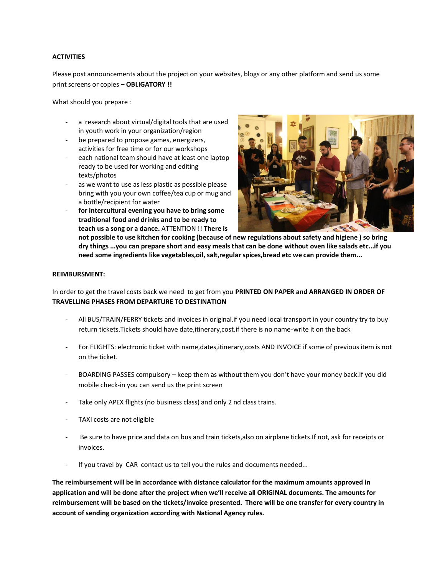## **ACTIVITIES**

Please post announcements about the project on your websites, blogs or any other platform and send us some print screens or copies – **OBLIGATORY !!**

What should you prepare :

- a research about virtual/digital tools that are used in youth work in your organization/region
- be prepared to propose games, energizers, activities for free time or for our workshops
- each national team should have at least one laptop ready to be used for working and editing texts/photos
- as we want to use as less plastic as possible please bring with you your own coffee/tea cup or mug and a bottle/recipient for water
- **for intercultural evening you have to bring some traditional food and drinks and to be ready to teach us a song or a dance.** ATTENTION !! **There is**



**not possible to use kitchen for cooking (because of new regulations about safety and higiene ) so bring dry things ...you can prepare short and easy meals that can be done without oven like salads etc...if you need some ingredients like vegetables,oil, salt,regular spices,bread etc we can provide them...**

## **REIMBURSMENT:**

In order to get the travel costs back we need to get from you **PRINTED ON PAPER and ARRANGED IN ORDER OF TRAVELLING PHASES FROM DEPARTURE TO DESTINATION**

- All BUS/TRAIN/FERRY tickets and invoices in original.if you need local transport in your country try to buy return tickets.Tickets should have date,itinerary,cost.if there is no name-write it on the back
- For FLIGHTS: electronic ticket with name,dates,itinerary,costs AND INVOICE if some of previous item is not on the ticket.
- BOARDING PASSES compulsory keep them as without them you don't have your money back.If you did mobile check-in you can send us the print screen
- Take only APEX flights (no business class) and only 2 nd class trains.
- TAXI costs are not eligible
- Be sure to have price and data on bus and train tickets, also on airplane tickets. If not, ask for receipts or invoices.
- If you travel by CAR contact us to tell you the rules and documents needed...

**The reimbursement will be in accordance with distance calculator for the maximum amounts approved in application and will be done after the project when we'll receive all ORIGINAL documents. The amounts for reimbursement will be based on the tickets/invoice presented. There will be one transfer for every country in account of sending organization according with National Agency rules.**